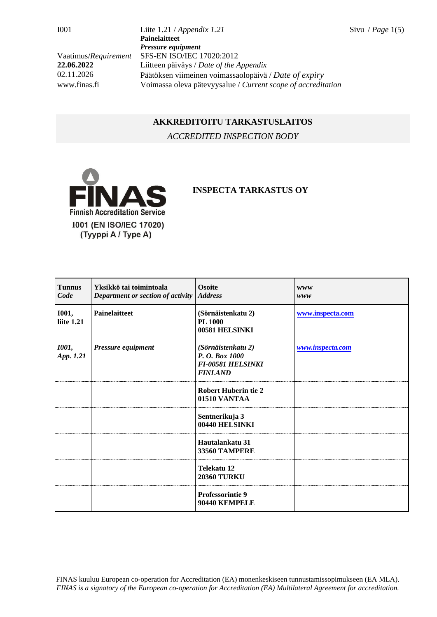I001 Liite 1.21 / *Appendix 1.21* Sivu / *Page* 1(5) **Painelaitteet** *Pressure equipment* Vaatimus/*Requirement* SFS-EN ISO/IEC 17020:2012 **22.06.2022** Liitteen päiväys / *Date of the Appendix* 02.11.2026 Päätöksen viimeinen voimassaolopäivä / *Date of expiry* www.finas.fi Voimassa oleva pätevyysalue / *Current scope of accreditation*

## **AKKREDITOITU TARKASTUSLAITOS**

*ACCREDITED INSPECTION BODY*



## **INSPECTA TARKASTUS OY**

| <b>Tunnus</b><br>Code      | Yksikkö tai toimintoala<br>Department or section of activity | <b>Osoite</b><br><b>Address</b>                                                    | <b>WWW</b><br>www |
|----------------------------|--------------------------------------------------------------|------------------------------------------------------------------------------------|-------------------|
| <b>I001,</b><br>liite 1.21 | <b>Painelaitteet</b>                                         | (Sörnäistenkatu 2)<br><b>PL 1000</b><br>00581 HELSINKI                             | www.inspecta.com  |
| <b>1001</b> ,<br>App. 1.21 | Pressure equipment                                           | (Sörnäistenkatu 2)<br>P. O. Box 1000<br><b>FI-00581 HELSINKI</b><br><b>FINLAND</b> | www.inspecta.com  |
|                            |                                                              | <b>Robert Huberin tie 2</b><br>01510 VANTAA                                        |                   |
|                            |                                                              | Sentnerikuja 3<br>00440 HELSINKI                                                   |                   |
|                            |                                                              | Hautalankatu 31<br>33560 TAMPERE                                                   |                   |
|                            |                                                              | Telekatu 12<br><b>20360 TURKU</b>                                                  |                   |
|                            |                                                              | Professorintie 9<br>90440 KEMPELE                                                  |                   |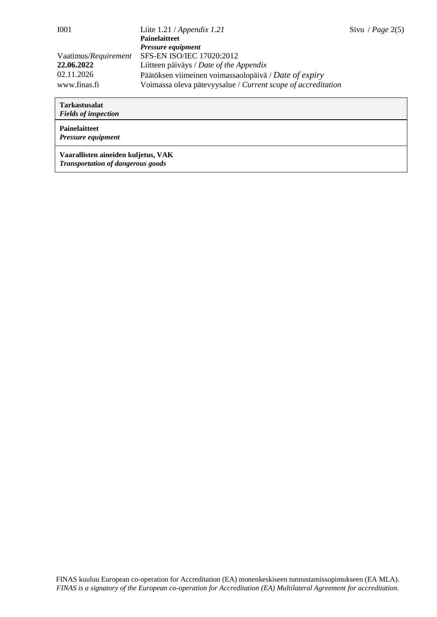| <b>I001</b>                                                                  | Liite $1.21 / Appendix 1.21$                          | Sivu / Page $2(5)$ |
|------------------------------------------------------------------------------|-------------------------------------------------------|--------------------|
|                                                                              | <b>Painelaitteet</b>                                  |                    |
|                                                                              | Pressure equipment                                    |                    |
| Vaatimus/Requirement                                                         | SFS-EN ISO/IEC 17020:2012                             |                    |
| 22.06.2022                                                                   | Liitteen päiväys / Date of the Appendix               |                    |
| 02.11.2026                                                                   | Päätöksen viimeinen voimassaolopäivä / Date of expiry |                    |
| Voimassa oleva pätevyysalue / Current scope of accreditation<br>www.finas.fi |                                                       |                    |

| <b>Tarkastusalat</b><br><b>Fields of inspection</b>                             |
|---------------------------------------------------------------------------------|
| <b>Painelaitteet</b><br><b>Pressure equipment</b>                               |
| Vaarallisten aineiden kuljetus, VAK<br><b>Transportation of dangerous goods</b> |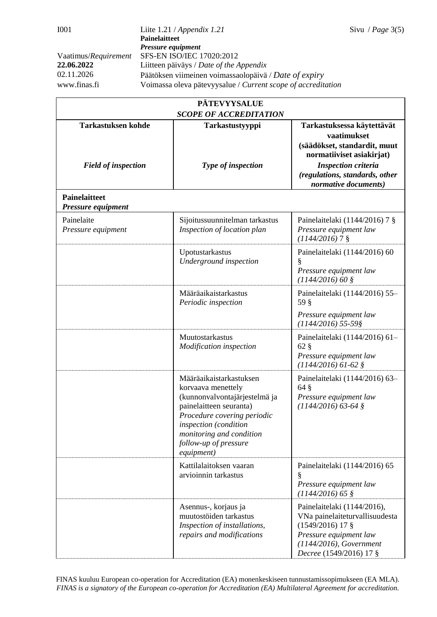| <b>PÄTEVYYSALUE</b>                        |                                                                                                                                                                                                                                      |                                                                                                                                                                     |  |  |  |
|--------------------------------------------|--------------------------------------------------------------------------------------------------------------------------------------------------------------------------------------------------------------------------------------|---------------------------------------------------------------------------------------------------------------------------------------------------------------------|--|--|--|
| <b>SCOPE OF ACCREDITATION</b>              |                                                                                                                                                                                                                                      |                                                                                                                                                                     |  |  |  |
| <b>Tarkastuksen kohde</b>                  | Tarkastustyyppi                                                                                                                                                                                                                      | Tarkastuksessa käytettävät<br>vaatimukset<br>(säädökset, standardit, muut<br>normatiiviset asiakirjat)                                                              |  |  |  |
| <b>Field of inspection</b>                 | Type of inspection                                                                                                                                                                                                                   | <b>Inspection criteria</b><br>(regulations, standards, other<br>normative documents)                                                                                |  |  |  |
| <b>Painelaitteet</b><br>Pressure equipment |                                                                                                                                                                                                                                      |                                                                                                                                                                     |  |  |  |
| Painelaite<br>Pressure equipment           | Sijoitussuunnitelman tarkastus<br>Inspection of location plan                                                                                                                                                                        | Painelaitelaki (1144/2016) 7 $\S$<br>Pressure equipment law<br>$(1144/2016)$ 7 §                                                                                    |  |  |  |
|                                            | Upotustarkastus<br>Underground inspection                                                                                                                                                                                            | Painelaitelaki (1144/2016) 60<br>Pressure equipment law<br>$(1144/2016)$ 60 §                                                                                       |  |  |  |
|                                            | Määräaikaistarkastus<br>Periodic inspection                                                                                                                                                                                          | Painelaitelaki (1144/2016) 55-<br>59 §                                                                                                                              |  |  |  |
|                                            |                                                                                                                                                                                                                                      | Pressure equipment law<br>$(1144/2016)$ 55-59§                                                                                                                      |  |  |  |
|                                            | Muutostarkastus<br>Modification inspection                                                                                                                                                                                           | Painelaitelaki (1144/2016) 61-<br>$62\%$<br>Pressure equipment law<br>$(1144/2016)$ 61-62 §                                                                         |  |  |  |
|                                            | Määräaikaistarkastuksen<br>korvaava menettely<br>(kunnonvalvontajärjestelmä ja<br>painelaitteen seuranta)<br>Procedure covering periodic<br>inspection (condition<br>monitoring and condition<br>follow-up of pressure<br>equipment) | Painelaitelaki (1144/2016) 63-<br>$64\text{ }$ §<br>Pressure equipment law<br>$(1144/2016)$ 63-64 §                                                                 |  |  |  |
|                                            | Kattilalaitoksen vaaran<br>arvioinnin tarkastus                                                                                                                                                                                      | Painelaitelaki (1144/2016) 65<br>§<br>Pressure equipment law<br>$(1144/2016)$ 65 §                                                                                  |  |  |  |
|                                            | Asennus-, korjaus ja<br>muutostöiden tarkastus<br>Inspection of installations,<br>repairs and modifications                                                                                                                          | Painelaitelaki (1144/2016),<br>VNa painelaiteturvallisuudesta<br>$(1549/2016)$ 17 §<br>Pressure equipment law<br>(1144/2016), Government<br>Decree (1549/2016) 17 § |  |  |  |

FINAS kuuluu European co-operation for Accreditation (EA) monenkeskiseen tunnustamissopimukseen (EA MLA). *FINAS is a signatory of the European co-operation for Accreditation (EA) Multilateral Agreement for accreditation.*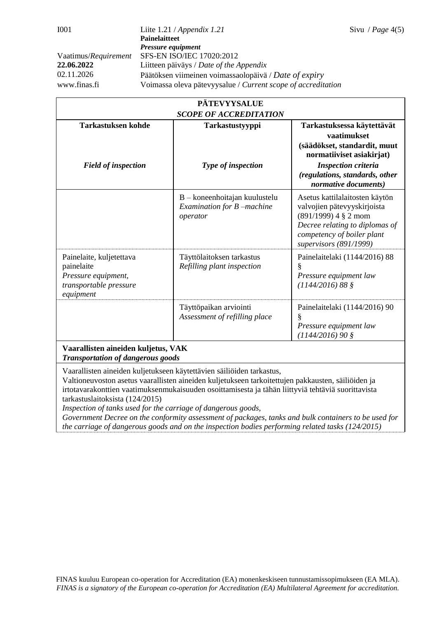|                                                                                                      | <b>PÄTEVYYSALUE</b>                                                       |                                                                                                                                                                                                |  |  |  |
|------------------------------------------------------------------------------------------------------|---------------------------------------------------------------------------|------------------------------------------------------------------------------------------------------------------------------------------------------------------------------------------------|--|--|--|
| <b>SCOPE OF ACCREDITATION</b>                                                                        |                                                                           |                                                                                                                                                                                                |  |  |  |
| <b>Tarkastuksen kohde</b><br><b>Field of inspection</b>                                              | Tarkastustyyppi<br>Type of inspection                                     | Tarkastuksessa käytettävät<br>vaatimukset<br>(säädökset, standardit, muut<br>normatiiviset asiakirjat)<br><b>Inspection criteria</b><br>(regulations, standards, other<br>normative documents) |  |  |  |
|                                                                                                      | $B -$ koneenhoitajan kuulustelu<br>Examination for B -machine<br>operator | Asetus kattilalaitosten käytön<br>valvojien pätevyyskirjoista<br>$(891/1999)$ 4 § 2 mom<br>Decree relating to diplomas of<br>competency of boiler plant<br>supervisors (891/1999)              |  |  |  |
| Painelaite, kuljetettava<br>painelaite<br>Pressure equipment,<br>transportable pressure<br>equipment | Täyttölaitoksen tarkastus<br>Refilling plant inspection                   | Painelaitelaki (1144/2016) 88<br>Pressure equipment law<br>$(1144/2016) 88$ §                                                                                                                  |  |  |  |
|                                                                                                      | Täyttöpaikan arviointi<br>Assessment of refilling place                   | Painelaitelaki (1144/2016) 90<br>§<br>Pressure equipment law<br>$(1144/2016)$ 90 §                                                                                                             |  |  |  |
| Vaarallisten aineiden kuljetus, VAK                                                                  |                                                                           |                                                                                                                                                                                                |  |  |  |

*Transportation of dangerous goods*

Vaarallisten aineiden kuljetukseen käytettävien säiliöiden tarkastus,

Valtioneuvoston asetus vaarallisten aineiden kuljetukseen tarkoitettujen pakkausten, säiliöiden ja irtotavarakonttien vaatimuksenmukaisuuden osoittamisesta ja tähän liittyviä tehtäviä suorittavista tarkastuslaitoksista (124/2015)

*Inspection of tanks used for the carriage of dangerous goods,* 

*Government Decree on the conformity assessment of packages, tanks and bulk containers to be used for the carriage of dangerous goods and on the inspection bodies performing related tasks (124/2015)*